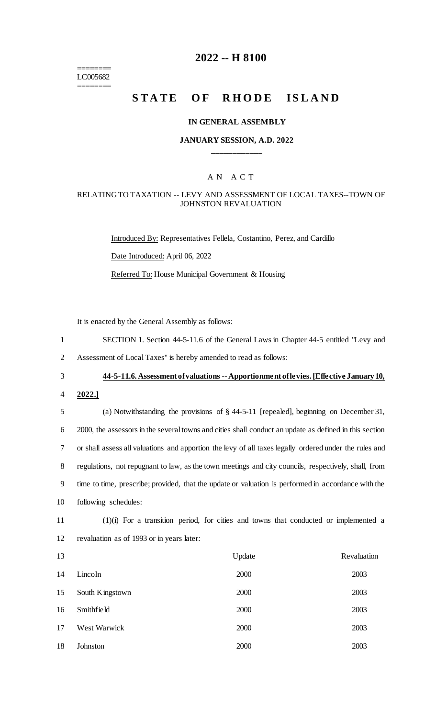======== LC005682 ========

# **2022 -- H 8100**

# **STATE OF RHODE ISLAND**

#### **IN GENERAL ASSEMBLY**

### **JANUARY SESSION, A.D. 2022 \_\_\_\_\_\_\_\_\_\_\_\_**

### A N A C T

### RELATING TO TAXATION -- LEVY AND ASSESSMENT OF LOCAL TAXES--TOWN OF JOHNSTON REVALUATION

Introduced By: Representatives Fellela, Costantino, Perez, and Cardillo Date Introduced: April 06, 2022 Referred To: House Municipal Government & Housing

It is enacted by the General Assembly as follows:

- 1 SECTION 1. Section 44-5-11.6 of the General Laws in Chapter 44-5 entitled "Levy and
- 2 Assessment of Local Taxes" is hereby amended to read as follows:

# 3 **44-5-11.6. Assessment of valuations --Apportionment of levies. [Effective January 10,**

4 **2022.]**

 (a) Notwithstanding the provisions of § 44-5-11 [repealed], beginning on December 31, 2000, the assessors in the several towns and cities shall conduct an update as defined in this section or shall assess all valuations and apportion the levy of all taxes legally ordered under the rules and regulations, not repugnant to law, as the town meetings and city councils, respectively, shall, from time to time, prescribe; provided, that the update or valuation is performed in accordance with the following schedules:

11 (1)(i) For a transition period, for cities and towns that conducted or implemented a 12 revaluation as of 1993 or in years later:

| 13 |                 | Update | Revaluation |
|----|-----------------|--------|-------------|
| 14 | Lincoln         | 2000   | 2003        |
| 15 | South Kingstown | 2000   | 2003        |
| 16 | Smithfield      | 2000   | 2003        |
| 17 | West Warwick    | 2000   | 2003        |
| 18 | Johnston        | 2000   | 2003        |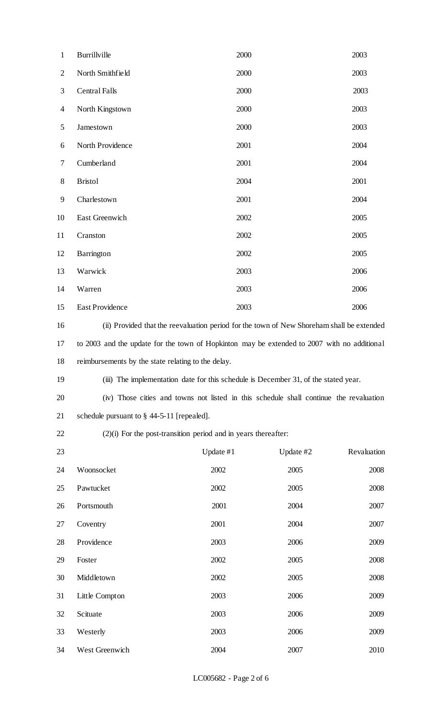| $\mathbf{1}$   | Burrillville                                                                                | 2000      |             | 2003        |  |
|----------------|---------------------------------------------------------------------------------------------|-----------|-------------|-------------|--|
| $\overline{2}$ | North Smithfield                                                                            | 2000      |             | 2003        |  |
| 3              | <b>Central Falls</b>                                                                        | 2000      |             | 2003        |  |
| $\overline{4}$ | North Kingstown                                                                             | 2000      |             | 2003        |  |
| 5              | Jamestown                                                                                   | 2000      |             | 2003        |  |
| 6              | North Providence                                                                            | 2001      |             | 2004        |  |
| 7              | Cumberland                                                                                  | 2001      |             | 2004        |  |
| $8\,$          | <b>Bristol</b>                                                                              | 2004      |             | 2001        |  |
| 9              | Charlestown                                                                                 | 2001      |             | 2004        |  |
| 10             | East Greenwich                                                                              | 2002      |             | 2005        |  |
| 11             | Cranston                                                                                    | 2002      |             | 2005        |  |
| 12             | Barrington                                                                                  | 2002      |             | 2005        |  |
| 13             | Warwick                                                                                     | 2003      |             | 2006        |  |
| 14             | Warren                                                                                      | 2003      |             | 2006        |  |
| 15             | East Providence                                                                             | 2003      |             | 2006        |  |
| 16             | (ii) Provided that the reevaluation period for the town of New Shoreham shall be extended   |           |             |             |  |
| 17             | to 2003 and the update for the town of Hopkinton may be extended to 2007 with no additional |           |             |             |  |
| 18             | reimbursements by the state relating to the delay.                                          |           |             |             |  |
| 19             | (iii) The implementation date for this schedule is December 31, of the stated year.         |           |             |             |  |
| 20             | (iv) Those cities and towns not listed in this schedule shall continue the revaluation      |           |             |             |  |
| 21             | schedule pursuant to $\S$ 44-5-11 [repealed].                                               |           |             |             |  |
| 22             | $(2)(i)$ For the post-transition period and in years thereafter:                            |           |             |             |  |
| 23             |                                                                                             | Update #1 | Update $#2$ | Revaluation |  |
| 24             | Woonsocket                                                                                  | 2002      | 2005        | 2008        |  |
| 25             | Pawtucket                                                                                   | 2002      | 2005        | 2008        |  |
| 26             | Portsmouth                                                                                  | 2001      | 2004        | 2007        |  |
| 27             | Coventry                                                                                    | 2001      | 2004        | 2007        |  |
| 28             | Providence                                                                                  | 2003      | 2006        | 2009        |  |
| 29             | Foster                                                                                      | 2002      | 2005        | 2008        |  |
| 30             | Middletown                                                                                  | 2002      | 2005        | 2008        |  |
| 31             | Little Compton                                                                              | 2003      | 2006        | 2009        |  |
| 32             | Scituate                                                                                    | 2003      | 2006        | 2009        |  |
| 33             | Westerly                                                                                    | 2003      | 2006        | 2009        |  |
| 34             | West Greenwich                                                                              | 2004      | 2007        | 2010        |  |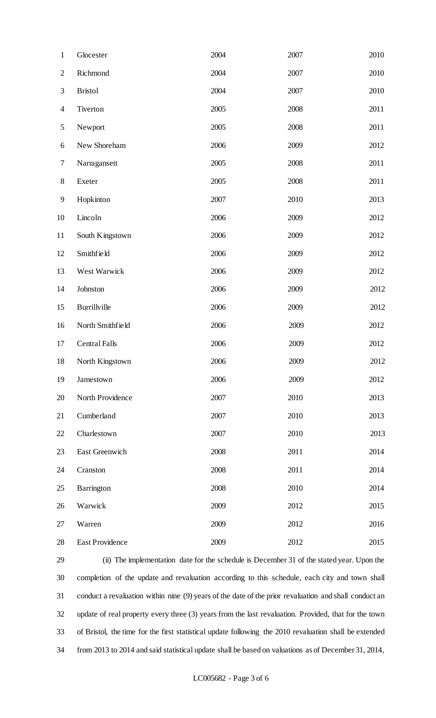| $\mathbf{1}$             | Glocester            | 2004 | 2007 | 2010 |
|--------------------------|----------------------|------|------|------|
| $\mathbf{2}$             | Richmond             | 2004 | 2007 | 2010 |
| 3                        | <b>Bristol</b>       | 2004 | 2007 | 2010 |
| $\overline{\mathcal{A}}$ | Tiverton             | 2005 | 2008 | 2011 |
| 5                        | Newport              | 2005 | 2008 | 2011 |
| 6                        | New Shoreham         | 2006 | 2009 | 2012 |
| 7                        | Narragansett         | 2005 | 2008 | 2011 |
| $8\,$                    | Exeter               | 2005 | 2008 | 2011 |
| 9                        | Hopkinton            | 2007 | 2010 | 2013 |
| 10                       | Lincoln              | 2006 | 2009 | 2012 |
| 11                       | South Kingstown      | 2006 | 2009 | 2012 |
| 12                       | Smithfield           | 2006 | 2009 | 2012 |
| 13                       | West Warwick         | 2006 | 2009 | 2012 |
| 14                       | Johnston             | 2006 | 2009 | 2012 |
| 15                       | Burrillville         | 2006 | 2009 | 2012 |
| 16                       | North Smithfield     | 2006 | 2009 | 2012 |
| 17                       | <b>Central Falls</b> | 2006 | 2009 | 2012 |
| 18                       | North Kingstown      | 2006 | 2009 | 2012 |
| 19                       | Jamestown            | 2006 | 2009 | 2012 |
| 20                       | North Providence     | 2007 | 2010 | 2013 |
| 21                       | Cumberland           | 2007 | 2010 | 2013 |
| 22                       | Charlestown          | 2007 | 2010 | 2013 |
| 23                       | East Greenwich       | 2008 | 2011 | 2014 |
| 24                       | Cranston             | 2008 | 2011 | 2014 |
| 25                       | Barrington           | 2008 | 2010 | 2014 |
| 26                       | Warwick              | 2009 | 2012 | 2015 |
| 27                       | Warren               | 2009 | 2012 | 2016 |
| 28                       | East Providence      | 2009 | 2012 | 2015 |

 (ii) The implementation date for the schedule is December 31 of the stated year. Upon the completion of the update and revaluation according to this schedule, each city and town shall conduct a revaluation within nine (9) years of the date of the prior revaluation and shall conduct an update of real property every three (3) years from the last revaluation. Provided, that for the town of Bristol, the time for the first statistical update following the 2010 revaluation shall be extended from 2013 to 2014 and said statistical update shall be based on valuations as of December 31, 2014,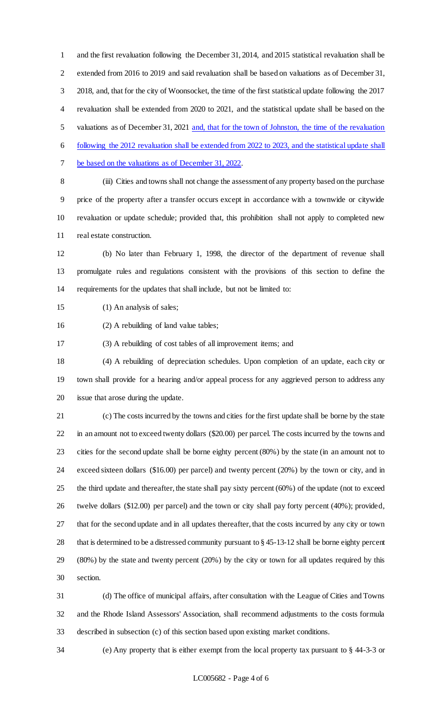and the first revaluation following the December 31, 2014, and 2015 statistical revaluation shall be extended from 2016 to 2019 and said revaluation shall be based on valuations as of December 31, 2018, and, that for the city of Woonsocket, the time of the first statistical update following the 2017 revaluation shall be extended from 2020 to 2021, and the statistical update shall be based on the valuations as of December 31, 2021 and, that for the town of Johnston, the time of the revaluation following the 2012 revaluation shall be extended from 2022 to 2023, and the statistical update shall be based on the valuations as of December 31, 2022.

 (iii) Cities and towns shall not change the assessment of any property based on the purchase price of the property after a transfer occurs except in accordance with a townwide or citywide revaluation or update schedule; provided that, this prohibition shall not apply to completed new real estate construction.

 (b) No later than February 1, 1998, the director of the department of revenue shall promulgate rules and regulations consistent with the provisions of this section to define the requirements for the updates that shall include, but not be limited to:

(1) An analysis of sales;

(2) A rebuilding of land value tables;

(3) A rebuilding of cost tables of all improvement items; and

 (4) A rebuilding of depreciation schedules. Upon completion of an update, each city or town shall provide for a hearing and/or appeal process for any aggrieved person to address any issue that arose during the update.

 (c) The costs incurred by the towns and cities for the first update shall be borne by the state in an amount not to exceed twenty dollars (\$20.00) per parcel. The costs incurred by the towns and cities for the second update shall be borne eighty percent (80%) by the state (in an amount not to exceed sixteen dollars (\$16.00) per parcel) and twenty percent (20%) by the town or city, and in the third update and thereafter, the state shall pay sixty percent (60%) of the update (not to exceed twelve dollars (\$12.00) per parcel) and the town or city shall pay forty percent (40%); provided, that for the second update and in all updates thereafter, that the costs incurred by any city or town that is determined to be a distressed community pursuant to § 45-13-12 shall be borne eighty percent (80%) by the state and twenty percent (20%) by the city or town for all updates required by this section.

 (d) The office of municipal affairs, after consultation with the League of Cities and Towns and the Rhode Island Assessors' Association, shall recommend adjustments to the costs formula described in subsection (c) of this section based upon existing market conditions.

(e) Any property that is either exempt from the local property tax pursuant to § 44-3-3 or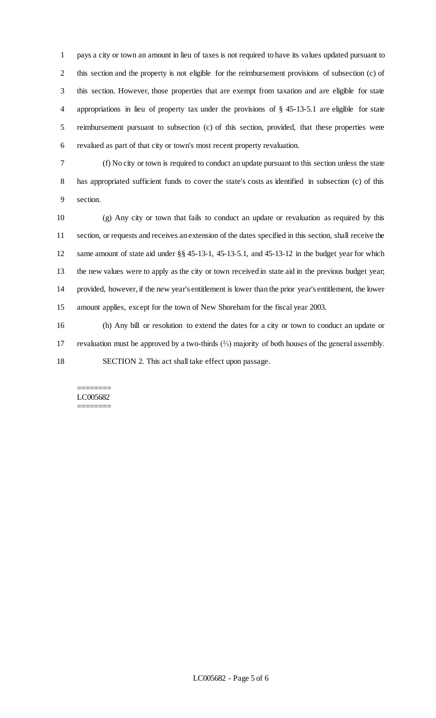pays a city or town an amount in lieu of taxes is not required to have its values updated pursuant to this section and the property is not eligible for the reimbursement provisions of subsection (c) of this section. However, those properties that are exempt from taxation and are eligible for state appropriations in lieu of property tax under the provisions of § 45-13-5.1 are eligible for state reimbursement pursuant to subsection (c) of this section, provided, that these properties were revalued as part of that city or town's most recent property revaluation.

 (f) No city or town is required to conduct an update pursuant to this section unless the state has appropriated sufficient funds to cover the state's costs as identified in subsection (c) of this section.

 (g) Any city or town that fails to conduct an update or revaluation as required by this section, or requests and receives an extension of the dates specified in this section, shall receive the same amount of state aid under §§ 45-13-1, 45-13-5.1, and 45-13-12 in the budget year for which the new values were to apply as the city or town received in state aid in the previous budget year; provided, however, if the new year's entitlement is lower than the prior year's entitlement, the lower amount applies, except for the town of New Shoreham for the fiscal year 2003.

 (h) Any bill or resolution to extend the dates for a city or town to conduct an update or revaluation must be approved by a two-thirds (⅔) majority of both houses of the general assembly. SECTION 2. This act shall take effect upon passage.

#### ======== LC005682 ========